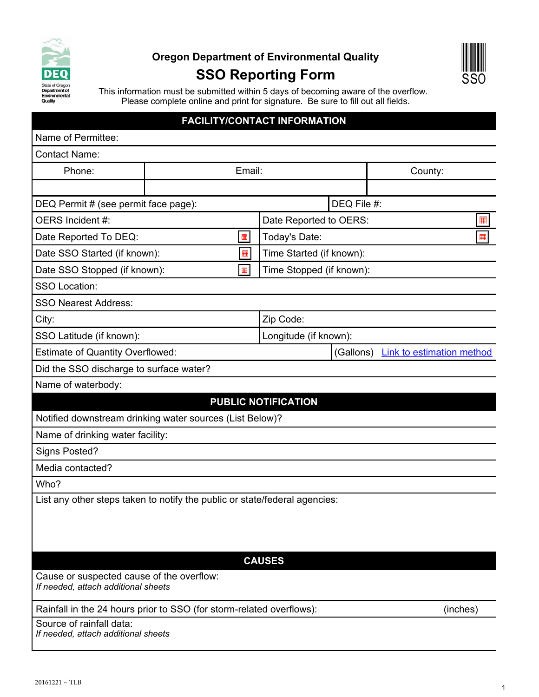

## **Oregon Department of Environmental Quality**

## **SSO Reporting Form**



This information must be submitted within 5 days of becoming aware of the overflow. Please complete online and print for signature. Be sure to fill out all fields.

## **FACILITY/CONTACT INFORMATION**

| Name of Permittee:                                                               |                                                                            | <u>SULTINGUNIADI INI OKWATION</u> |           |                                  |
|----------------------------------------------------------------------------------|----------------------------------------------------------------------------|-----------------------------------|-----------|----------------------------------|
| <b>Contact Name:</b>                                                             |                                                                            |                                   |           |                                  |
| Phone:                                                                           | Email:                                                                     |                                   |           | County:                          |
|                                                                                  |                                                                            |                                   |           |                                  |
| DEQ Permit # (see permit face page):                                             |                                                                            | DEQ File #:                       |           |                                  |
| OERS Incident #:                                                                 |                                                                            | Date Reported to OERS:            |           | 噩                                |
| Date Reported To DEQ:<br>噩                                                       |                                                                            | Today's Date:<br>龠                |           |                                  |
| Date SSO Started (if known):<br>$\blacksquare$                                   |                                                                            | Time Started (if known):          |           |                                  |
| Date SSO Stopped (if known):<br>$\blacksquare$                                   |                                                                            | Time Stopped (if known):          |           |                                  |
| <b>SSO Location:</b>                                                             |                                                                            |                                   |           |                                  |
| <b>SSO Nearest Address:</b>                                                      |                                                                            |                                   |           |                                  |
| City:                                                                            |                                                                            | Zip Code:                         |           |                                  |
| SSO Latitude (if known):                                                         |                                                                            | Longitude (if known):             |           |                                  |
| <b>Estimate of Quantity Overflowed:</b>                                          |                                                                            |                                   | (Gallons) | <b>Link to estimation method</b> |
| Did the SSO discharge to surface water?                                          |                                                                            |                                   |           |                                  |
| Name of waterbody:                                                               |                                                                            |                                   |           |                                  |
|                                                                                  |                                                                            | <b>PUBLIC NOTIFICATION</b>        |           |                                  |
|                                                                                  | Notified downstream drinking water sources (List Below)?                   |                                   |           |                                  |
| Name of drinking water facility:                                                 |                                                                            |                                   |           |                                  |
| Signs Posted?                                                                    |                                                                            |                                   |           |                                  |
| Media contacted?                                                                 |                                                                            |                                   |           |                                  |
| Who?                                                                             |                                                                            |                                   |           |                                  |
|                                                                                  | List any other steps taken to notify the public or state/federal agencies: |                                   |           |                                  |
|                                                                                  |                                                                            |                                   |           |                                  |
|                                                                                  |                                                                            |                                   |           |                                  |
|                                                                                  |                                                                            |                                   |           |                                  |
|                                                                                  |                                                                            | <b>CAUSES</b>                     |           |                                  |
| Cause or suspected cause of the overflow:<br>If needed, attach additional sheets |                                                                            |                                   |           |                                  |
| Rainfall in the 24 hours prior to SSO (for storm-related overflows):<br>(inches) |                                                                            |                                   |           |                                  |
| Source of rainfall data:<br>If needed, attach additional sheets                  |                                                                            |                                   |           |                                  |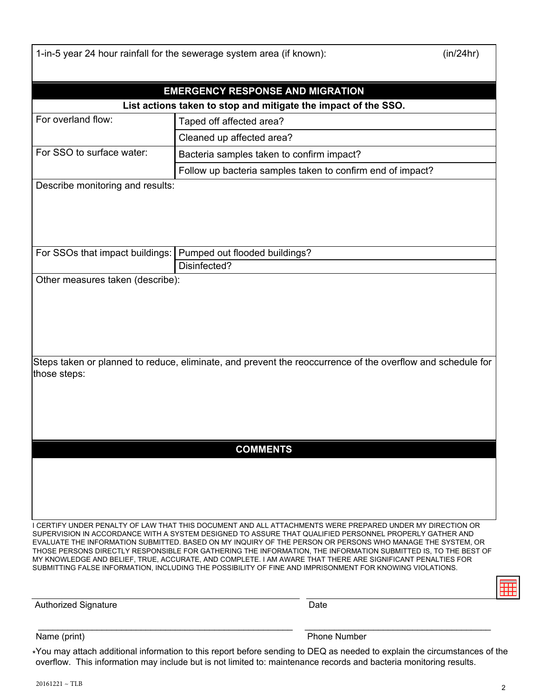|                                  | 1-in-5 year 24 hour rainfall for the sewerage system area (if known):                                                                                                                                                 | (in/24hr) |  |  |
|----------------------------------|-----------------------------------------------------------------------------------------------------------------------------------------------------------------------------------------------------------------------|-----------|--|--|
|                                  |                                                                                                                                                                                                                       |           |  |  |
|                                  | <b>EMERGENCY RESPONSE AND MIGRATION</b><br>List actions taken to stop and mitigate the impact of the SSO.                                                                                                             |           |  |  |
| For overland flow:               | Taped off affected area?                                                                                                                                                                                              |           |  |  |
|                                  | Cleaned up affected area?                                                                                                                                                                                             |           |  |  |
| For SSO to surface water:        | Bacteria samples taken to confirm impact?                                                                                                                                                                             |           |  |  |
|                                  | Follow up bacteria samples taken to confirm end of impact?                                                                                                                                                            |           |  |  |
| Describe monitoring and results: |                                                                                                                                                                                                                       |           |  |  |
|                                  |                                                                                                                                                                                                                       |           |  |  |
|                                  |                                                                                                                                                                                                                       |           |  |  |
|                                  |                                                                                                                                                                                                                       |           |  |  |
|                                  |                                                                                                                                                                                                                       |           |  |  |
| For SSOs that impact buildings:  | Pumped out flooded buildings?<br>Disinfected?                                                                                                                                                                         |           |  |  |
| Other measures taken (describe): |                                                                                                                                                                                                                       |           |  |  |
|                                  |                                                                                                                                                                                                                       |           |  |  |
|                                  |                                                                                                                                                                                                                       |           |  |  |
|                                  |                                                                                                                                                                                                                       |           |  |  |
|                                  |                                                                                                                                                                                                                       |           |  |  |
|                                  |                                                                                                                                                                                                                       |           |  |  |
|                                  |                                                                                                                                                                                                                       |           |  |  |
|                                  | Steps taken or planned to reduce, eliminate, and prevent the reoccurrence of the overflow and schedule for                                                                                                            |           |  |  |
| those steps:                     |                                                                                                                                                                                                                       |           |  |  |
|                                  |                                                                                                                                                                                                                       |           |  |  |
|                                  |                                                                                                                                                                                                                       |           |  |  |
|                                  |                                                                                                                                                                                                                       |           |  |  |
|                                  |                                                                                                                                                                                                                       |           |  |  |
|                                  |                                                                                                                                                                                                                       |           |  |  |
|                                  | <b>COMMENTS</b>                                                                                                                                                                                                       |           |  |  |
|                                  |                                                                                                                                                                                                                       |           |  |  |
|                                  |                                                                                                                                                                                                                       |           |  |  |
|                                  |                                                                                                                                                                                                                       |           |  |  |
|                                  |                                                                                                                                                                                                                       |           |  |  |
|                                  |                                                                                                                                                                                                                       |           |  |  |
|                                  | I CERTIFY UNDER PENALTY OF LAW THAT THIS DOCUMENT AND ALL ATTACHMENTS WERE PREPARED UNDER MY DIRECTION OR                                                                                                             |           |  |  |
|                                  | SUPERVISION IN ACCORDANCE WITH A SYSTEM DESIGNED TO ASSURE THAT QUALIFIED PERSONNEL PROPERLY GATHER AND<br>EVALUATE THE INFORMATION SUBMITTED. BASED ON MY INQUIRY OF THE PERSON OR PERSONS WHO MANAGE THE SYSTEM, OR |           |  |  |
|                                  | THOSE PERSONS DIRECTLY RESPONSIBLE FOR GATHERING THE INFORMATION, THE INFORMATION SUBMITTED IS, TO THE BEST OF                                                                                                        |           |  |  |
|                                  | MY KNOWLEDGE AND BELIEF, TRUE, ACCURATE, AND COMPLETE. I AM AWARE THAT THERE ARE SIGNIFICANT PENALTIES FOR                                                                                                            |           |  |  |
|                                  | SUBMITTING FALSE INFORMATION, INCLUDING THE POSSIBILITY OF FINE AND IMPRISONMENT FOR KNOWING VIOLATIONS.                                                                                                              |           |  |  |
|                                  |                                                                                                                                                                                                                       |           |  |  |
|                                  |                                                                                                                                                                                                                       |           |  |  |

Authorized Signature **Date** Date

Name (print) Phone Number

\*You may attach additional information to this report before sending to DEQ as needed to explain the circumstances of the overflow. This information may include but is not limited to: maintenance records and bacteria monitoring results.

\_\_\_\_\_\_\_\_\_\_\_\_\_\_\_\_\_\_\_\_\_\_\_\_\_\_\_\_\_\_\_\_\_\_\_\_\_\_\_\_\_\_\_\_\_\_\_\_\_\_\_\_ \_\_\_\_\_\_\_\_\_\_\_\_\_\_\_\_\_\_\_\_\_\_\_\_\_\_\_\_\_\_\_\_\_\_\_\_\_\_